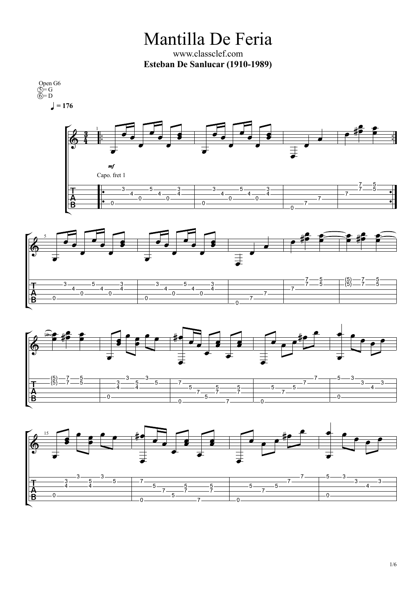Mantilla De Feria www.classclef.com **Esteban De Sanlucar (1910-1989)** 

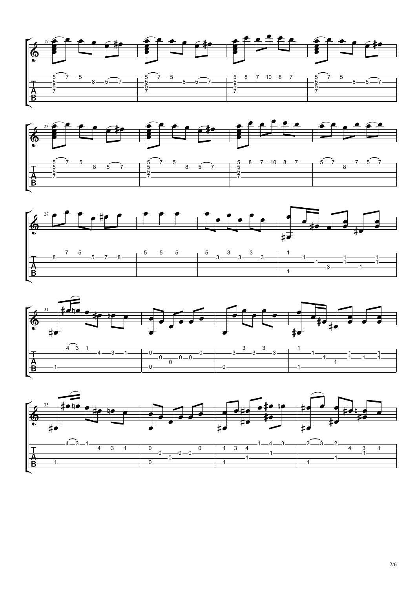







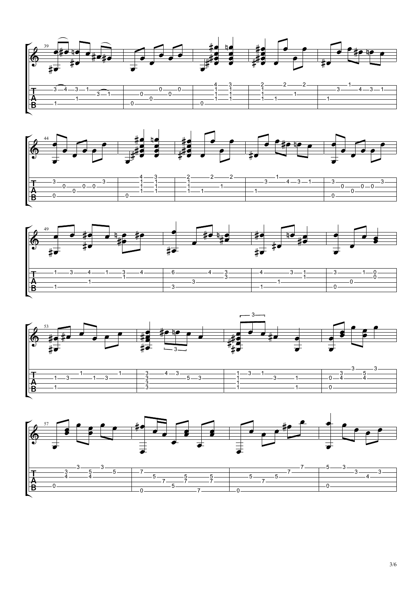







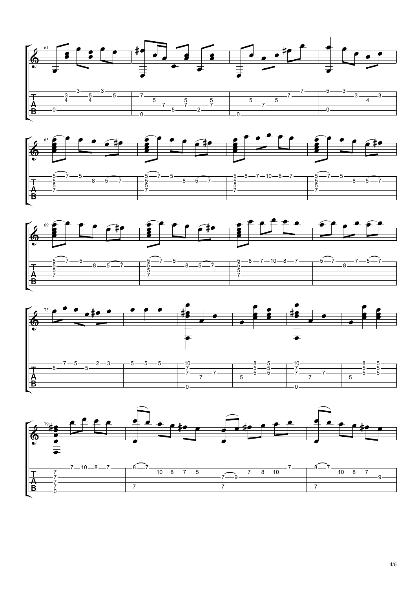







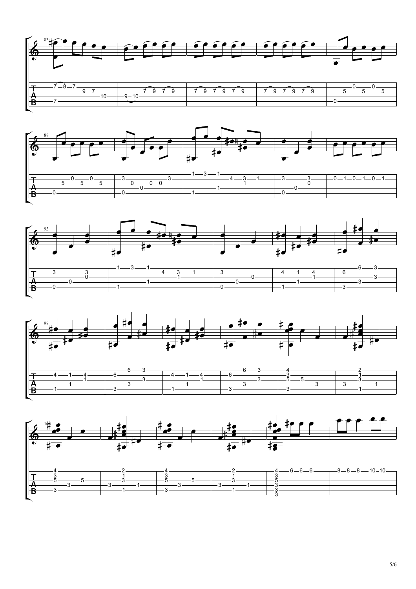









5/6